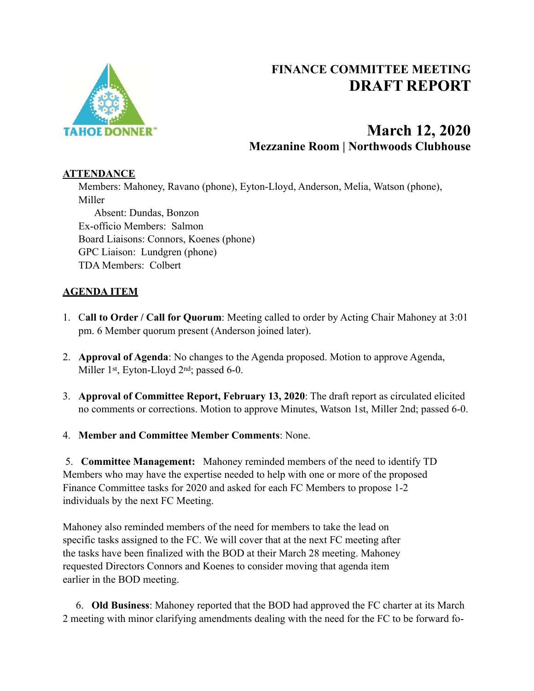

# **FINANCE COMMITTEE MEETING DRAFT REPORT**

# **March 12, 2020 Mezzanine Room | Northwoods Clubhouse**

### **ATTENDANCE**

Members: Mahoney, Ravano (phone), Eyton-Lloyd, Anderson, Melia, Watson (phone), Miller Absent: Dundas, Bonzon Ex-officio Members: Salmon Board Liaisons: Connors, Koenes (phone) GPC Liaison: Lundgren (phone) TDA Members: Colbert

## **AGENDA ITEM**

- 1. C**all to Order / Call for Quorum**: Meeting called to order by Acting Chair Mahoney at 3:01 pm. 6 Member quorum present (Anderson joined later).
- 2. **Approval of Agenda**: No changes to the Agenda proposed. Motion to approve Agenda, Miller 1st, Eyton-Lloyd 2nd; passed 6-0.
- 3. **Approval of Committee Report, February 13, 2020**: The draft report as circulated elicited no comments or corrections. Motion to approve Minutes, Watson 1st, Miller 2nd; passed 6-0.
- 4. **Member and Committee Member Comments**: None.

 5. **Committee Management:** Mahoney reminded members of the need to identify TD Members who may have the expertise needed to help with one or more of the proposed Finance Committee tasks for 2020 and asked for each FC Members to propose 1-2 individuals by the next FC Meeting.

Mahoney also reminded members of the need for members to take the lead on specific tasks assigned to the FC. We will cover that at the next FC meeting after the tasks have been finalized with the BOD at their March 28 meeting. Mahoney requested Directors Connors and Koenes to consider moving that agenda item earlier in the BOD meeting.

 6. **Old Business**: Mahoney reported that the BOD had approved the FC charter at its March 2 meeting with minor clarifying amendments dealing with the need for the FC to be forward fo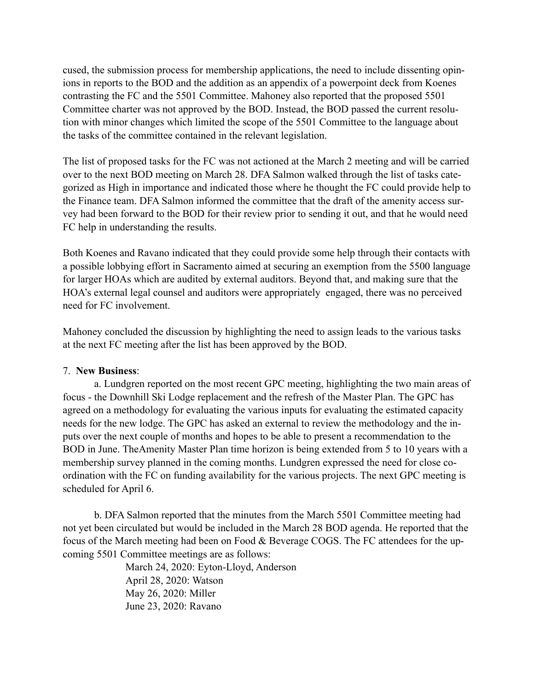cused, the submission process for membership applications, the need to include dissenting opinions in reports to the BOD and the addition as an appendix of a powerpoint deck from Koenes contrasting the FC and the 5501 Committee. Mahoney also reported that the proposed 5501 Committee charter was not approved by the BOD. Instead, the BOD passed the current resolution with minor changes which limited the scope of the 5501 Committee to the language about the tasks of the committee contained in the relevant legislation.

The list of proposed tasks for the FC was not actioned at the March 2 meeting and will be carried over to the next BOD meeting on March 28. DFA Salmon walked through the list of tasks categorized as High in importance and indicated those where he thought the FC could provide help to the Finance team. DFA Salmon informed the committee that the draft of the amenity access survey had been forward to the BOD for their review prior to sending it out, and that he would need FC help in understanding the results.

Both Koenes and Ravano indicated that they could provide some help through their contacts with a possible lobbying effort in Sacramento aimed at securing an exemption from the 5500 language for larger HOAs which are audited by external auditors. Beyond that, and making sure that the HOA's external legal counsel and auditors were appropriately engaged, there was no perceived need for FC involvement.

Mahoney concluded the discussion by highlighting the need to assign leads to the various tasks at the next FC meeting after the list has been approved by the BOD.

### 7. **New Business**:

 a. Lundgren reported on the most recent GPC meeting, highlighting the two main areas of focus - the Downhill Ski Lodge replacement and the refresh of the Master Plan. The GPC has agreed on a methodology for evaluating the various inputs for evaluating the estimated capacity needs for the new lodge. The GPC has asked an external to review the methodology and the inputs over the next couple of months and hopes to be able to present a recommendation to the BOD in June. TheAmenity Master Plan time horizon is being extended from 5 to 10 years with a membership survey planned in the coming months. Lundgren expressed the need for close coordination with the FC on funding availability for the various projects. The next GPC meeting is scheduled for April 6.

 b. DFA Salmon reported that the minutes from the March 5501 Committee meeting had not yet been circulated but would be included in the March 28 BOD agenda. He reported that the focus of the March meeting had been on Food & Beverage COGS. The FC attendees for the upcoming 5501 Committee meetings are as follows:

> March 24, 2020: Eyton-Lloyd, Anderson April 28, 2020: Watson May 26, 2020: Miller June 23, 2020: Ravano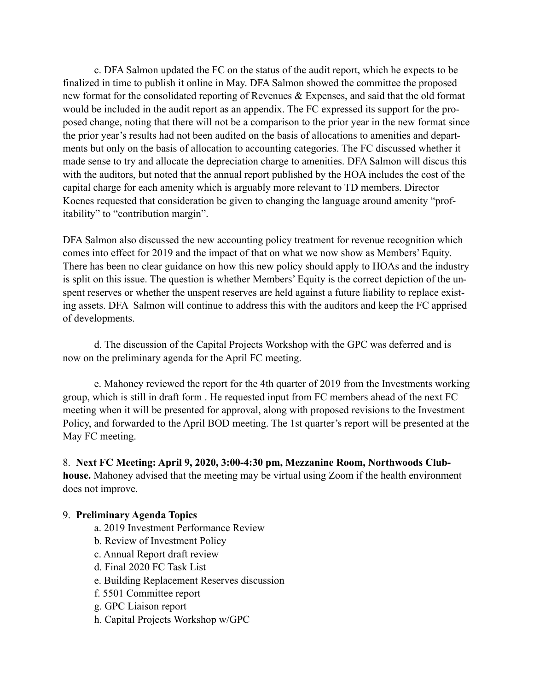c. DFA Salmon updated the FC on the status of the audit report, which he expects to be finalized in time to publish it online in May. DFA Salmon showed the committee the proposed new format for the consolidated reporting of Revenues & Expenses, and said that the old format would be included in the audit report as an appendix. The FC expressed its support for the proposed change, noting that there will not be a comparison to the prior year in the new format since the prior year's results had not been audited on the basis of allocations to amenities and departments but only on the basis of allocation to accounting categories. The FC discussed whether it made sense to try and allocate the depreciation charge to amenities. DFA Salmon will discus this with the auditors, but noted that the annual report published by the HOA includes the cost of the capital charge for each amenity which is arguably more relevant to TD members. Director Koenes requested that consideration be given to changing the language around amenity "profitability" to "contribution margin".

DFA Salmon also discussed the new accounting policy treatment for revenue recognition which comes into effect for 2019 and the impact of that on what we now show as Members' Equity. There has been no clear guidance on how this new policy should apply to HOAs and the industry is split on this issue. The question is whether Members' Equity is the correct depiction of the unspent reserves or whether the unspent reserves are held against a future liability to replace existing assets. DFA Salmon will continue to address this with the auditors and keep the FC apprised of developments.

 d. The discussion of the Capital Projects Workshop with the GPC was deferred and is now on the preliminary agenda for the April FC meeting.

 e. Mahoney reviewed the report for the 4th quarter of 2019 from the Investments working group, which is still in draft form . He requested input from FC members ahead of the next FC meeting when it will be presented for approval, along with proposed revisions to the Investment Policy, and forwarded to the April BOD meeting. The 1st quarter's report will be presented at the May FC meeting.

8. **Next FC Meeting: April 9, 2020, 3:00-4:30 pm, Mezzanine Room, Northwoods Clubhouse.** Mahoney advised that the meeting may be virtual using Zoom if the health environment does not improve.

### 9. **Preliminary Agenda Topics**

- a. 2019 Investment Performance Review
- b. Review of Investment Policy
- c. Annual Report draft review
- d. Final 2020 FC Task List
- e. Building Replacement Reserves discussion
- f. 5501 Committee report
- g. GPC Liaison report
- h. Capital Projects Workshop w/GPC